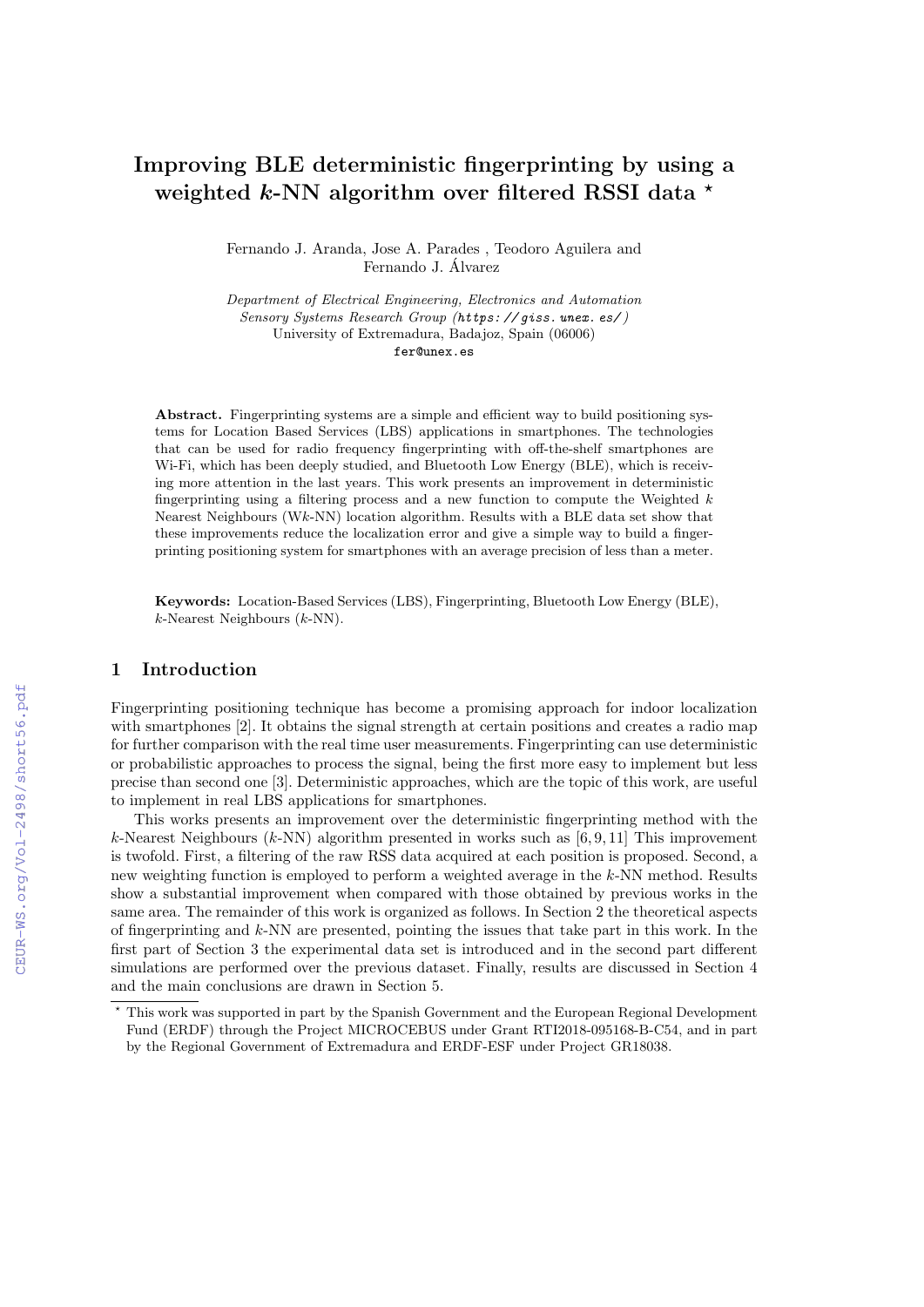# Improving BLE deterministic fingerprinting by using a weighted k-NN algorithm over filtered RSSI data  $\star$

Fernando J. Aranda, Jose A. Parades , Teodoro Aguilera and Fernando J. Alvarez ´

Department of Electrical Engineering, Electronics and Automation Sensory Systems Research Group (*https: // giss. unex. es/* ) University of Extremadura, Badajoz, Spain (06006) fer@unex.es

Abstract. Fingerprinting systems are a simple and efficient way to build positioning systems for Location Based Services (LBS) applications in smartphones. The technologies that can be used for radio frequency fingerprinting with off-the-shelf smartphones are Wi-Fi, which has been deeply studied, and Bluetooth Low Energy (BLE), which is receiving more attention in the last years. This work presents an improvement in deterministic fingerprinting using a filtering process and a new function to compute the Weighted  $k$ Nearest Neighbours (Wk-NN) location algorithm. Results with a BLE data set show that these improvements reduce the localization error and give a simple way to build a fingerprinting positioning system for smartphones with an average precision of less than a meter.

Keywords: Location-Based Services (LBS), Fingerprinting, Bluetooth Low Energy (BLE), k-Nearest Neighbours (k-NN).

# 1 Introduction

Fingerprinting positioning technique has become a promising approach for indoor localization with smartphones [2]. It obtains the signal strength at certain positions and creates a radio map for further comparison with the real time user measurements. Fingerprinting can use deterministic or probabilistic approaches to process the signal, being the first more easy to implement but less precise than second one [3]. Deterministic approaches, which are the topic of this work, are useful to implement in real LBS applications for smartphones.

This works presents an improvement over the deterministic fingerprinting method with the k-Nearest Neighbours (k-NN) algorithm presented in works such as  $[6, 9, 11]$  This improvement is twofold. First, a filtering of the raw RSS data acquired at each position is proposed. Second, a new weighting function is employed to perform a weighted average in the k-NN method. Results show a substantial improvement when compared with those obtained by previous works in the same area. The remainder of this work is organized as follows. In Section 2 the theoretical aspects of fingerprinting and  $k$ -NN are presented, pointing the issues that take part in this work. In the first part of Section 3 the experimental data set is introduced and in the second part different simulations are performed over the previous dataset. Finally, results are discussed in Section 4 and the main conclusions are drawn in Section 5.

<sup>⋆</sup> This work was supported in part by the Spanish Government and the European Regional Development Fund (ERDF) through the Project MICROCEBUS under Grant RTI2018-095168-B-C54, and in part by the Regional Government of Extremadura and ERDF-ESF under Project GR18038.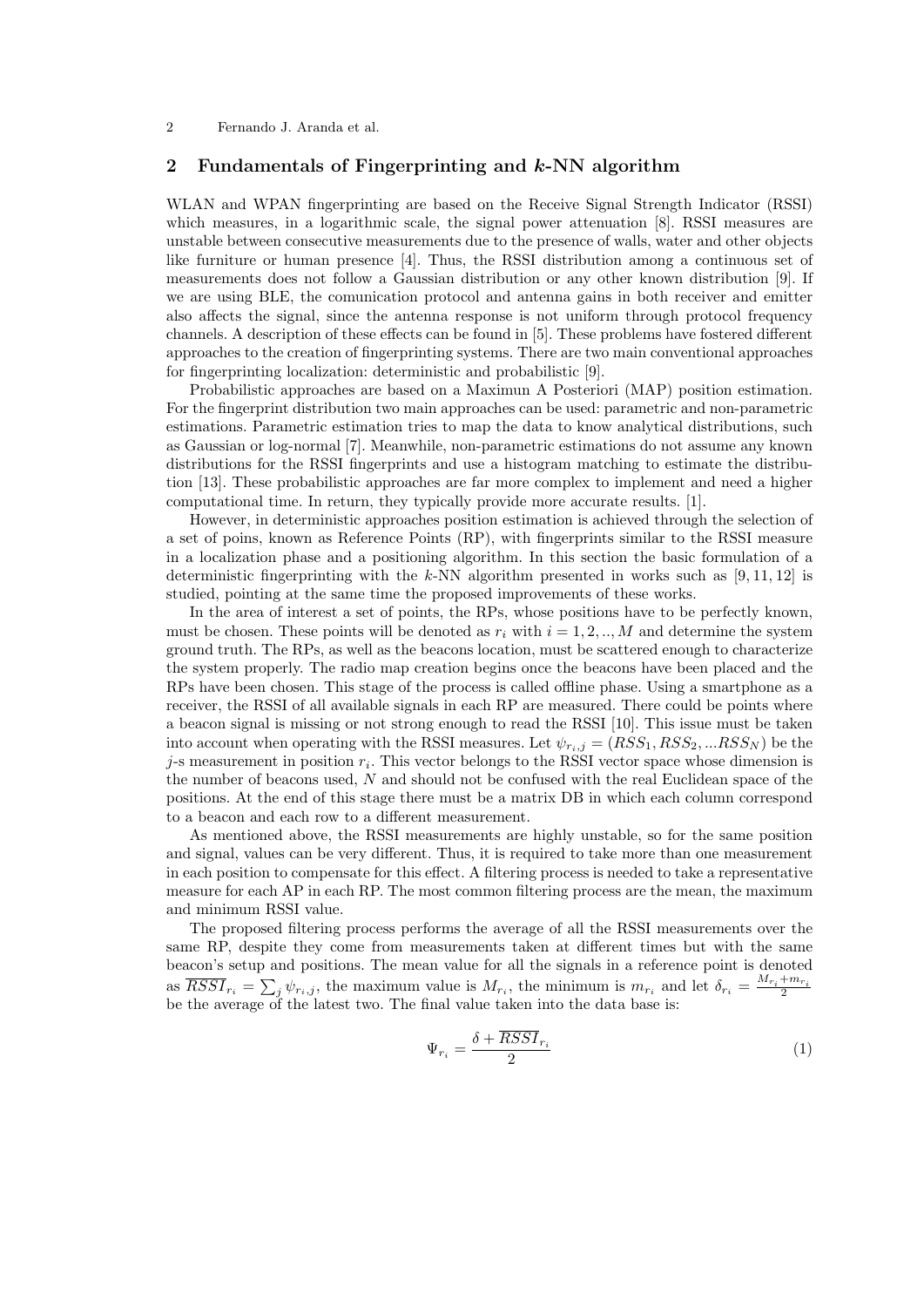#### 2 Fernando J. Aranda et al.

## 2 Fundamentals of Fingerprinting and  $k$ -NN algorithm

WLAN and WPAN fingerprinting are based on the Receive Signal Strength Indicator (RSSI) which measures, in a logarithmic scale, the signal power attenuation [8]. RSSI measures are unstable between consecutive measurements due to the presence of walls, water and other objects like furniture or human presence [4]. Thus, the RSSI distribution among a continuous set of measurements does not follow a Gaussian distribution or any other known distribution [9]. If we are using BLE, the comunication protocol and antenna gains in both receiver and emitter also affects the signal, since the antenna response is not uniform through protocol frequency channels. A description of these effects can be found in [5]. These problems have fostered different approaches to the creation of fingerprinting systems. There are two main conventional approaches for fingerprinting localization: deterministic and probabilistic [9].

Probabilistic approaches are based on a Maximun A Posteriori (MAP) position estimation. For the fingerprint distribution two main approaches can be used: parametric and non-parametric estimations. Parametric estimation tries to map the data to know analytical distributions, such as Gaussian or log-normal [7]. Meanwhile, non-parametric estimations do not assume any known distributions for the RSSI fingerprints and use a histogram matching to estimate the distribution [13]. These probabilistic approaches are far more complex to implement and need a higher computational time. In return, they typically provide more accurate results. [1].

However, in deterministic approaches position estimation is achieved through the selection of a set of poins, known as Reference Points (RP), with fingerprints similar to the RSSI measure in a localization phase and a positioning algorithm. In this section the basic formulation of a deterministic fingerprinting with the k-NN algorithm presented in works such as  $[9, 11, 12]$  is studied, pointing at the same time the proposed improvements of these works.

In the area of interest a set of points, the RPs, whose positions have to be perfectly known, must be chosen. These points will be denoted as  $r_i$  with  $i = 1, 2, ..., M$  and determine the system ground truth. The RPs, as well as the beacons location, must be scattered enough to characterize the system properly. The radio map creation begins once the beacons have been placed and the RPs have been chosen. This stage of the process is called offline phase. Using a smartphone as a receiver, the RSSI of all available signals in each RP are measured. There could be points where a beacon signal is missing or not strong enough to read the RSSI [10]. This issue must be taken into account when operating with the RSSI measures. Let  $\psi_{r_i,j} = (RSS_1, RSS_2, ... RSS_N)$  be the j-s measurement in position  $r_i$ . This vector belongs to the RSSI vector space whose dimension is the number of beacons used, N and should not be confused with the real Euclidean space of the positions. At the end of this stage there must be a matrix DB in which each column correspond to a beacon and each row to a different measurement.

As mentioned above, the RSSI measurements are highly unstable, so for the same position and signal, values can be very different. Thus, it is required to take more than one measurement in each position to compensate for this effect. A filtering process is needed to take a representative measure for each AP in each RP. The most common filtering process are the mean, the maximum and minimum RSSI value.

The proposed filtering process performs the average of all the RSSI measurements over the same RP, despite they come from measurements taken at different times but with the same beacon's setup and positions. The mean value for all the signals in a reference point is denoted as  $\overline{RSSI}_{r_i} = \sum_j \psi_{r_i,j}$ , the maximum value is  $M_{r_i}$ , the minimum is  $m_{r_i}$  and let  $\delta_{r_i} = \frac{M_{r_i} + m_{r_i}}{2}$ be the average of the latest two. The final value taken into the data base is:

$$
\Psi_{r_i} = \frac{\delta + \overline{RSSI}_{r_i}}{2} \tag{1}
$$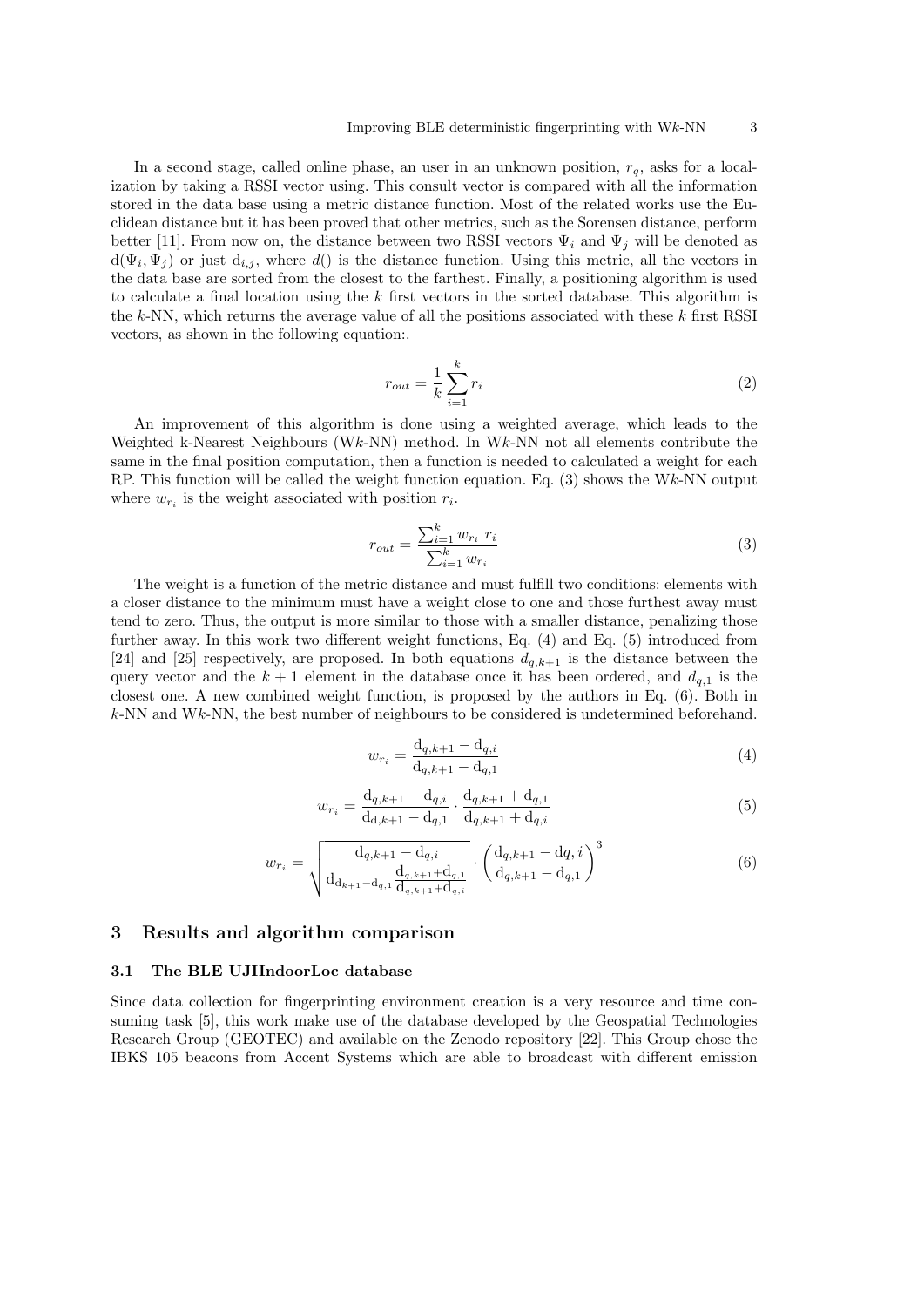In a second stage, called online phase, an user in an unknown position,  $r_q$ , asks for a localization by taking a RSSI vector using. This consult vector is compared with all the information stored in the data base using a metric distance function. Most of the related works use the Euclidean distance but it has been proved that other metrics, such as the Sorensen distance, perform better [11]. From now on, the distance between two RSSI vectors  $\Psi_i$  and  $\Psi_j$  will be denoted as  $d(\Psi_i, \Psi_j)$  or just  $d_{i,j}$ , where  $d()$  is the distance function. Using this metric, all the vectors in the data base are sorted from the closest to the farthest. Finally, a positioning algorithm is used to calculate a final location using the  $k$  first vectors in the sorted database. This algorithm is the k-NN, which returns the average value of all the positions associated with these  $k$  first RSSI vectors, as shown in the following equation:.

$$
r_{out} = \frac{1}{k} \sum_{i=1}^{k} r_i
$$
\n<sup>(2)</sup>

An improvement of this algorithm is done using a weighted average, which leads to the Weighted k-Nearest Neighbours (Wk-NN) method. In Wk-NN not all elements contribute the same in the final position computation, then a function is needed to calculated a weight for each RP. This function will be called the weight function equation. Eq.  $(3)$  shows the Wk-NN output where  $w_{r_i}$  is the weight associated with position  $r_i$ .

$$
r_{out} = \frac{\sum_{i=1}^{k} w_{r_i} \ r_i}{\sum_{i=1}^{k} w_{r_i}} \tag{3}
$$

The weight is a function of the metric distance and must fulfill two conditions: elements with a closer distance to the minimum must have a weight close to one and those furthest away must tend to zero. Thus, the output is more similar to those with a smaller distance, penalizing those further away. In this work two different weight functions, Eq. (4) and Eq. (5) introduced from [24] and [25] respectively, are proposed. In both equations  $d_{q,k+1}$  is the distance between the query vector and the  $k + 1$  element in the database once it has been ordered, and  $d_{q,1}$  is the closest one. A new combined weight function, is proposed by the authors in Eq. (6). Both in  $k$ -NN and W $k$ -NN, the best number of neighbours to be considered is undetermined beforehand.

$$
w_{r_i} = \frac{d_{q,k+1} - d_{q,i}}{d_{q,k+1} - d_{q,1}}\tag{4}
$$

$$
w_{r_i} = \frac{d_{q,k+1} - d_{q,i}}{d_{d,k+1} - d_{q,1}} \cdot \frac{d_{q,k+1} + d_{q,1}}{d_{q,k+1} + d_{q,i}} \tag{5}
$$

$$
w_{r_i} = \sqrt{\frac{d_{q,k+1} - d_{q,i}}{d_{d_{k+1} - d_{q,1}} \frac{d_{q,k+1} + d_{q,1}}{d_{q,k+1} + d_{q,i}} \cdot \left(\frac{d_{q,k+1} - d_{q,i}}{d_{q,k+1} - d_{q,1}}\right)^3}
$$
(6)

## 3 Results and algorithm comparison

## 3.1 The BLE UJIIndoorLoc database

Since data collection for fingerprinting environment creation is a very resource and time consuming task [5], this work make use of the database developed by the Geospatial Technologies Research Group (GEOTEC) and available on the Zenodo repository [22]. This Group chose the IBKS 105 beacons from Accent Systems which are able to broadcast with different emission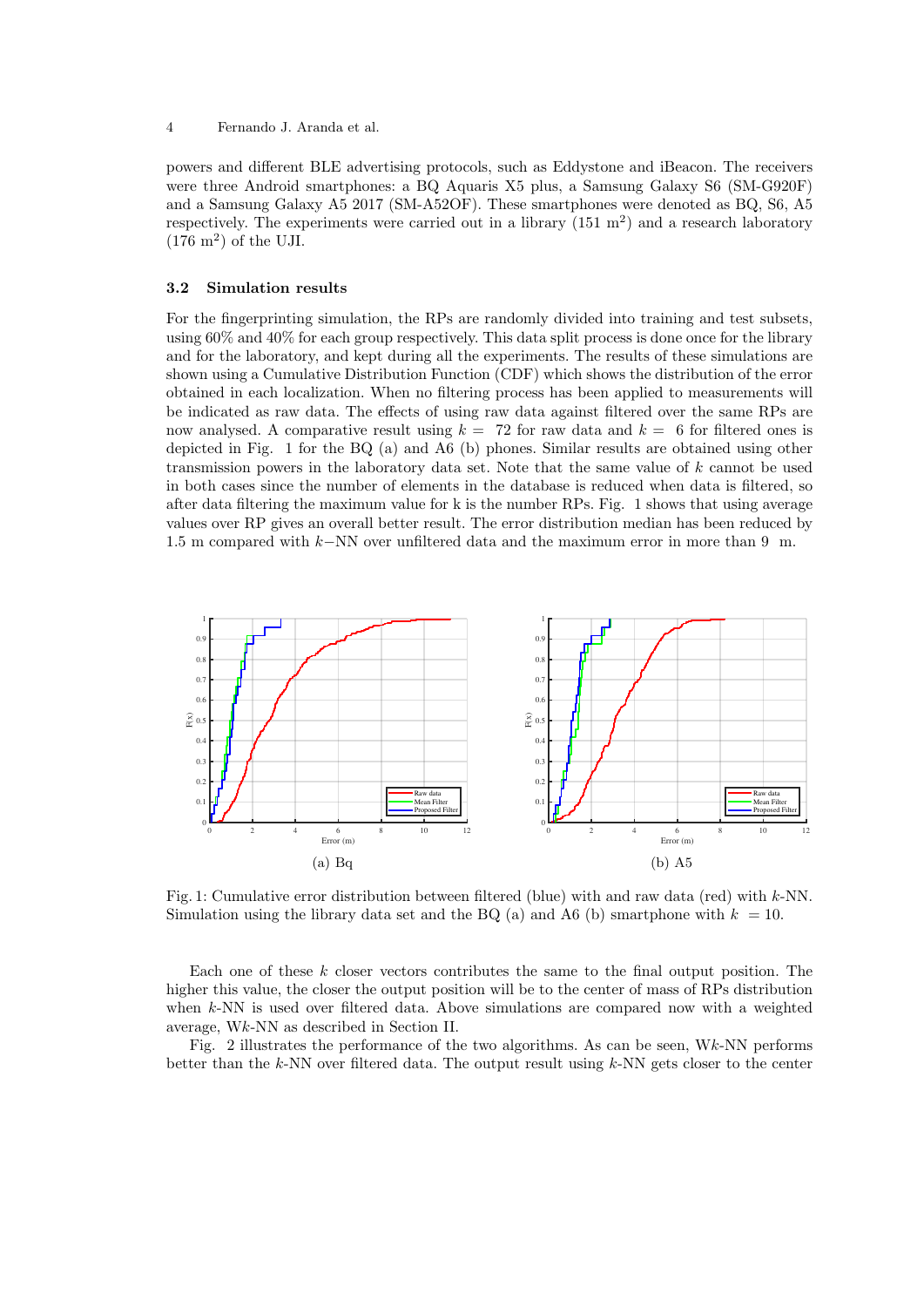powers and different BLE advertising protocols, such as Eddystone and iBeacon. The receivers were three Android smartphones: a BQ Aquaris X5 plus, a Samsung Galaxy S6 (SM-G920F) and a Samsung Galaxy A5 2017 (SM-A52OF). These smartphones were denoted as BQ, S6, A5 respectively. The experiments were carried out in a library  $(151 \text{ m}^2)$  and a research laboratory  $(176 \text{ m}^2)$  of the UJI.

#### 3.2 Simulation results

For the fingerprinting simulation, the RPs are randomly divided into training and test subsets, using 60% and 40% for each group respectively. This data split process is done once for the library and for the laboratory, and kept during all the experiments. The results of these simulations are shown using a Cumulative Distribution Function (CDF) which shows the distribution of the error obtained in each localization. When no filtering process has been applied to measurements will be indicated as raw data. The effects of using raw data against filtered over the same RPs are now analysed. A comparative result using  $k = 72$  for raw data and  $k = 6$  for filtered ones is depicted in Fig. 1 for the BQ (a) and A6 (b) phones. Similar results are obtained using other transmission powers in the laboratory data set. Note that the same value of  $k$  cannot be used in both cases since the number of elements in the database is reduced when data is filtered, so after data filtering the maximum value for k is the number RPs. Fig. 1 shows that using average values over RP gives an overall better result. The error distribution median has been reduced by 1.5 m compared with k−NN over unfiltered data and the maximum error in more than 9 m.



Fig. 1: Cumulative error distribution between filtered (blue) with and raw data (red) with  $k$ -NN. Simulation using the library data set and the BQ (a) and A6 (b) smartphone with  $k = 10$ .

Each one of these  $k$  closer vectors contributes the same to the final output position. The higher this value, the closer the output position will be to the center of mass of RPs distribution when k-NN is used over filtered data. Above simulations are compared now with a weighted average, Wk-NN as described in Section II.

Fig. 2 illustrates the performance of the two algorithms. As can be seen,  $Wk$ -NN performs better than the  $k$ -NN over filtered data. The output result using  $k$ -NN gets closer to the center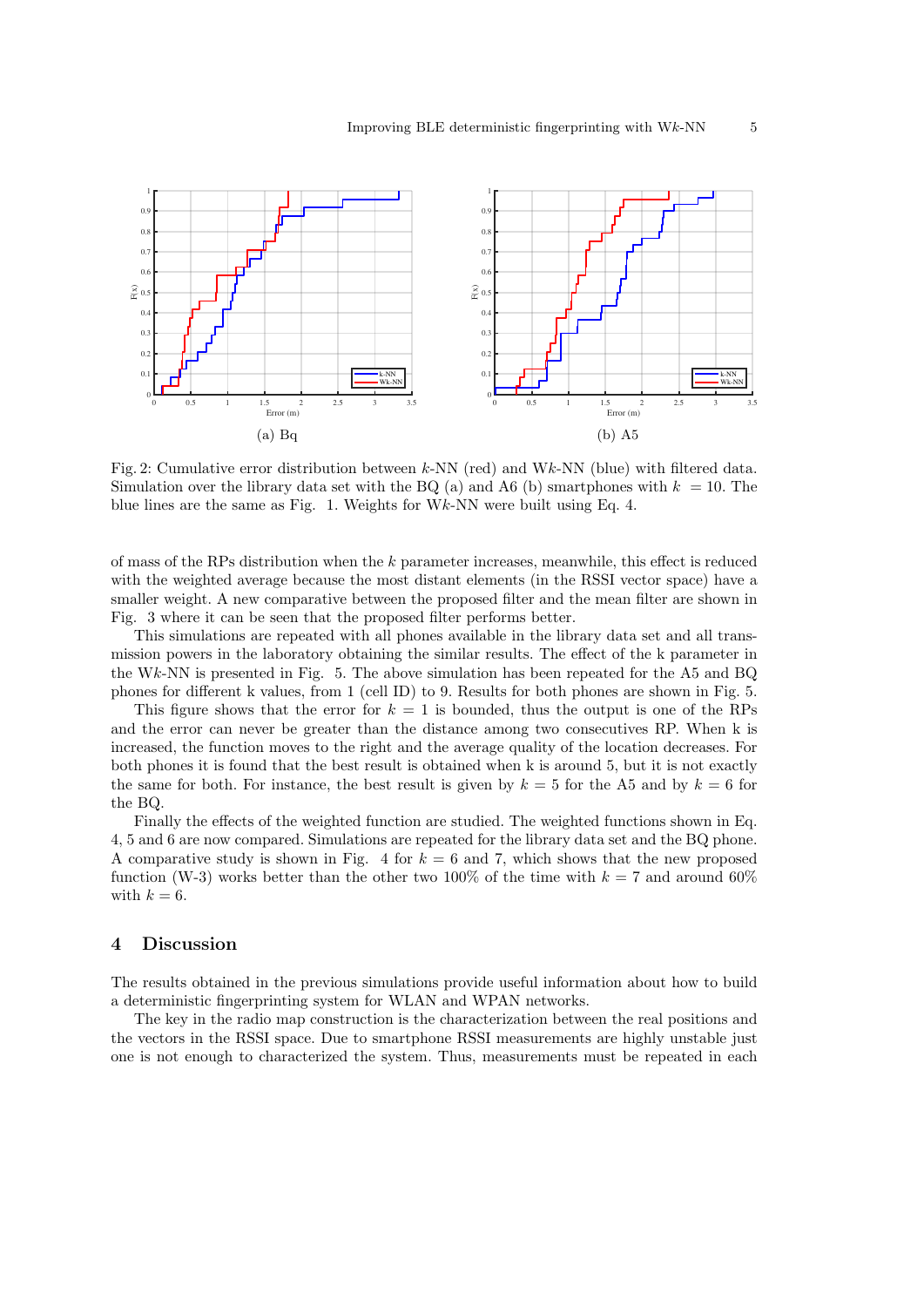

Fig. 2: Cumulative error distribution between k-NN (red) and Wk-NN (blue) with filtered data. Simulation over the library data set with the BQ (a) and A6 (b) smartphones with  $k = 10$ . The blue lines are the same as Fig. 1. Weights for Wk-NN were built using Eq. 4.

of mass of the RPs distribution when the k parameter increases, meanwhile, this effect is reduced with the weighted average because the most distant elements (in the RSSI vector space) have a smaller weight. A new comparative between the proposed filter and the mean filter are shown in Fig. 3 where it can be seen that the proposed filter performs better.

This simulations are repeated with all phones available in the library data set and all transmission powers in the laboratory obtaining the similar results. The effect of the k parameter in the Wk-NN is presented in Fig. 5. The above simulation has been repeated for the A5 and BQ phones for different k values, from 1 (cell ID) to 9. Results for both phones are shown in Fig. 5.

This figure shows that the error for  $k = 1$  is bounded, thus the output is one of the RPs and the error can never be greater than the distance among two consecutives RP. When k is increased, the function moves to the right and the average quality of the location decreases. For both phones it is found that the best result is obtained when k is around 5, but it is not exactly the same for both. For instance, the best result is given by  $k = 5$  for the A5 and by  $k = 6$  for the BQ.

Finally the effects of the weighted function are studied. The weighted functions shown in Eq. 4, 5 and 6 are now compared. Simulations are repeated for the library data set and the BQ phone. A comparative study is shown in Fig. 4 for  $k = 6$  and 7, which shows that the new proposed function (W-3) works better than the other two 100% of the time with  $k = 7$  and around 60% with  $k = 6$ .

## 4 Discussion

The results obtained in the previous simulations provide useful information about how to build a deterministic fingerprinting system for WLAN and WPAN networks.

The key in the radio map construction is the characterization between the real positions and the vectors in the RSSI space. Due to smartphone RSSI measurements are highly unstable just one is not enough to characterized the system. Thus, measurements must be repeated in each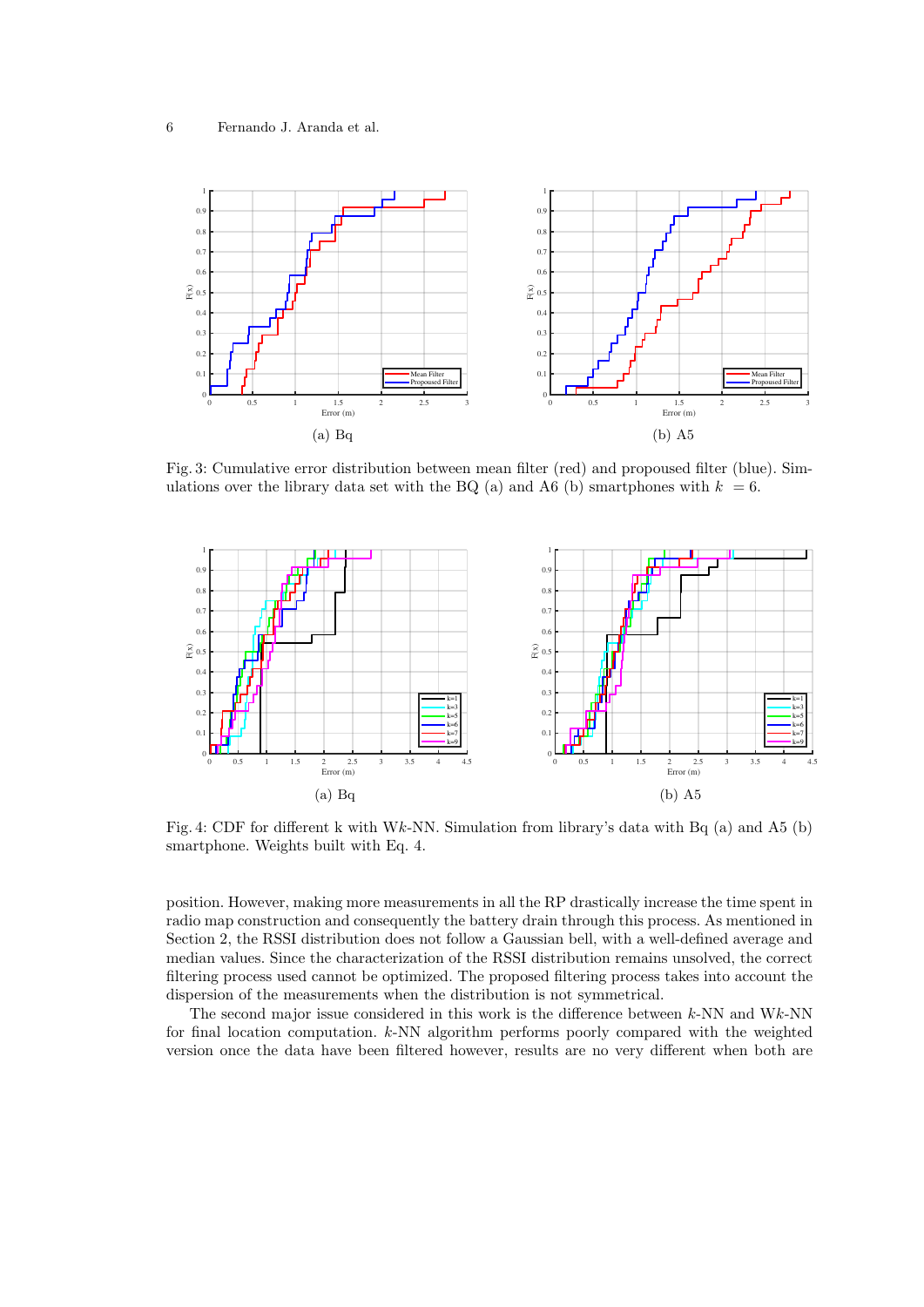

Fig. 3: Cumulative error distribution between mean filter (red) and propoused filter (blue). Simulations over the library data set with the BQ (a) and A6 (b) smartphones with  $k = 6$ .



Fig. 4: CDF for different k with Wk-NN. Simulation from library's data with Bq (a) and A5 (b) smartphone. Weights built with Eq. 4.

position. However, making more measurements in all the RP drastically increase the time spent in radio map construction and consequently the battery drain through this process. As mentioned in Section 2, the RSSI distribution does not follow a Gaussian bell, with a well-defined average and median values. Since the characterization of the RSSI distribution remains unsolved, the correct filtering process used cannot be optimized. The proposed filtering process takes into account the dispersion of the measurements when the distribution is not symmetrical.

The second major issue considered in this work is the difference between  $k$ -NN and W $k$ -NN for final location computation. k-NN algorithm performs poorly compared with the weighted version once the data have been filtered however, results are no very different when both are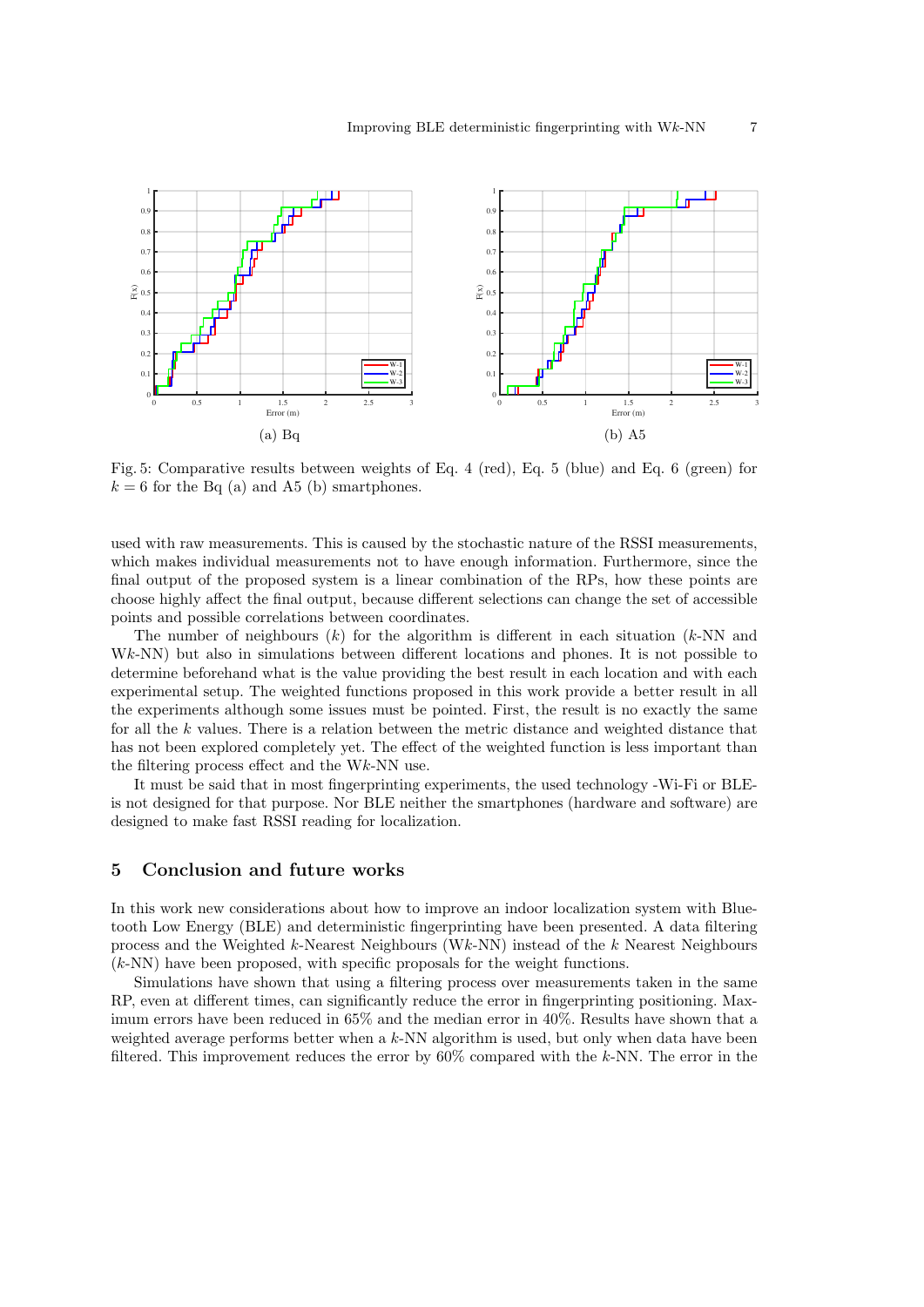

Fig. 5: Comparative results between weights of Eq. 4 (red), Eq. 5 (blue) and Eq. 6 (green) for  $k = 6$  for the Bq (a) and A5 (b) smartphones.

used with raw measurements. This is caused by the stochastic nature of the RSSI measurements, which makes individual measurements not to have enough information. Furthermore, since the final output of the proposed system is a linear combination of the RPs, how these points are choose highly affect the final output, because different selections can change the set of accessible points and possible correlations between coordinates.

The number of neighbours  $(k)$  for the algorithm is different in each situation  $(k-NN)$  and Wk-NN) but also in simulations between different locations and phones. It is not possible to determine beforehand what is the value providing the best result in each location and with each experimental setup. The weighted functions proposed in this work provide a better result in all the experiments although some issues must be pointed. First, the result is no exactly the same for all the k values. There is a relation between the metric distance and weighted distance that has not been explored completely yet. The effect of the weighted function is less important than the filtering process effect and the Wk-NN use.

It must be said that in most fingerprinting experiments, the used technology -Wi-Fi or BLEis not designed for that purpose. Nor BLE neither the smartphones (hardware and software) are designed to make fast RSSI reading for localization.

## 5 Conclusion and future works

In this work new considerations about how to improve an indoor localization system with Bluetooth Low Energy (BLE) and deterministic fingerprinting have been presented. A data filtering process and the Weighted k-Nearest Neighbours (Wk-NN) instead of the k Nearest Neighbours (k-NN) have been proposed, with specific proposals for the weight functions.

Simulations have shown that using a filtering process over measurements taken in the same RP, even at different times, can significantly reduce the error in fingerprinting positioning. Maximum errors have been reduced in 65% and the median error in 40%. Results have shown that a weighted average performs better when a  $k$ -NN algorithm is used, but only when data have been filtered. This improvement reduces the error by  $60\%$  compared with the k-NN. The error in the